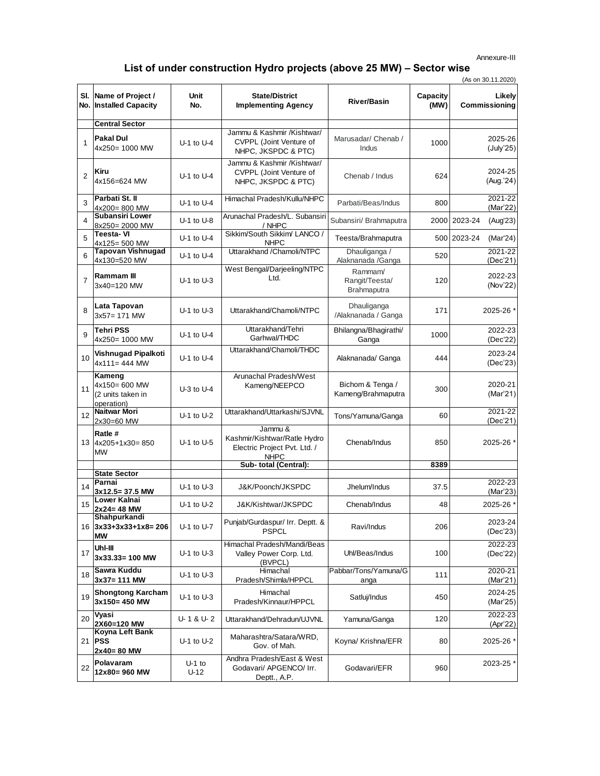## Annexure-III

## **List of under construction Hydro projects (above 25 MW) – Sector wise**

|                |                                                            | (As on 30.11.2020) |                                                                                        |                                          |                  |                         |
|----------------|------------------------------------------------------------|--------------------|----------------------------------------------------------------------------------------|------------------------------------------|------------------|-------------------------|
|                | SI. Name of Project /<br>No. Installed Capacity            | Unit<br>No.        | <b>State/District</b><br><b>Implementing Agency</b>                                    | <b>River/Basin</b>                       | Capacity<br>(MW) | Likely<br>Commissioning |
|                | <b>Central Sector</b>                                      |                    |                                                                                        |                                          |                  |                         |
| $\mathbf{1}$   | <b>Pakal Dul</b><br>4x250= 1000 MW                         | $U-1$ to $U-4$     | Jammu & Kashmir /Kishtwar/<br>CVPPL (Joint Venture of<br>NHPC, JKSPDC & PTC)           | Marusadar/ Chenab /<br>Indus             | 1000             | 2025-26<br>(July'25)    |
| $\overline{2}$ | Kiru<br>4x156=624 MW                                       | $U-1$ to $U-4$     | Jammu & Kashmir /Kishtwar/<br>CVPPL (Joint Venture of<br>NHPC, JKSPDC & PTC)           | Chenab / Indus                           | 624              | 2024-25<br>(Aug.'24)    |
| 3              | Parbati St. II<br>4x200=800 MW                             | $U-1$ to $U-4$     | Himachal Pradesh/Kullu/NHPC                                                            | Parbati/Beas/Indus                       | 800              | 2021-22<br>(Mar'22)     |
| 4              | <b>Subansiri Lower</b><br>8x250= 2000 MW                   | $U-1$ to $U-8$     | Arunachal Pradesh/L. Subansiri<br>/ NHPC                                               | Subansiri/ Brahmaputra                   | 2000             | 2023-24<br>(Aug'23)     |
| 5              | Teesta-VI<br>4x125= 500 MW                                 | $U-1$ to $U-4$     | Sikkim/South Sikkim/ LANCO /<br><b>NHPC</b>                                            | Teesta/Brahmaputra                       |                  | 500 2023-24<br>(Mar'24) |
| 6              | <b>Tapovan Vishnugad</b><br>4x130=520 MW                   | $U-1$ to $U-4$     | Uttarakhand / Chamoli/NTPC                                                             | Dhauliganga /<br>Alaknanada / Ganga      | 520              | 2021-22<br>(Dec'21)     |
| $\overline{7}$ | <b>Rammam III</b><br>3x40=120 MW                           | $U-1$ to $U-3$     | West Bengal/Darjeeling/NTPC<br>Ltd.                                                    | Rammam/<br>Rangit/Teesta/<br>Brahmaputra | 120              | 2022-23<br>(Nov'22)     |
| 8              | Lata Tapovan<br>$3x57 = 171$ MW                            | $U-1$ to $U-3$     | Uttarakhand/Chamoli/NTPC                                                               | Dhauliganga<br>/Alaknanada / Ganga       | 171              | 2025-26 *               |
| 9              | <b>Tehri PSS</b><br>4x250= 1000 MW                         | $U-1$ to $U-4$     | Uttarakhand/Tehri<br>Garhwal/THDC                                                      | Bhilangna/Bhagirathi/<br>Ganga           | 1000             | 2022-23<br>(Dec'22)     |
| 10             | Vishnugad Pipalkoti<br>$4x111 = 444$ MW                    | $U-1$ to $U-4$     | Uttarakhand/Chamoli/THDC                                                               | Alaknanada/ Ganga                        | 444              | 2023-24<br>(Dec'23)     |
| 11             | Kameng<br>4x150= 600 MW<br>(2 units taken in<br>operation) | $U-3$ to $U-4$     | Arunachal Pradesh/West<br>Kameng/NEEPCO                                                | Bichom & Tenga /<br>Kameng/Brahmaputra   | 300              | 2020-21<br>(Mar'21)     |
| 12             | Naitwar Mori<br>2x30=60 MW                                 | $U-1$ to $U-2$     | Uttarakhand/Uttarkashi/SJVNL                                                           | Tons/Yamuna/Ganga                        | 60               | 2021-22<br>(Dec'21)     |
|                | Ratle #<br>13 4x205+1x30= 850<br><b>MW</b>                 | $U-1$ to $U-5$     | Jammu &<br>Kashmir/Kishtwar/Ratle Hydro<br>Electric Project Pvt. Ltd. /<br><b>NHPC</b> | Chenab/Indus                             | 850              | 2025-26 *               |
|                |                                                            |                    | Sub- total (Central):                                                                  |                                          | 8389             |                         |
|                | <b>State Sector</b>                                        |                    |                                                                                        |                                          |                  |                         |
| 14             | Parnai<br>3x12.5= 37.5 MW                                  | $U-1$ to $U-3$     | J&K/Poonch/JKSPDC                                                                      | Jhelum/Indus                             | 37.5             | 2022-23<br>(Mar'23)     |
| 15             | Lower Kalnai<br>$2x24 = 48$ MW                             | $U-1$ to $U-2$     | J&K/Kishtwar/JKSPDC                                                                    | Chenab/Indus                             | 48               | 2025-26 *               |
|                | Shahpurkandi<br>16 3x33+3x33+1x8= 206<br><b>MW</b>         | $U-1$ to $U-7$     | Punjab/Gurdaspur/ Irr. Deptt. &<br><b>PSPCL</b>                                        | Ravi/Indus                               | 206              | 2023-24<br>(Dec'23)     |
| 17             | Uhl-III<br>$3x33.33 = 100$ MW                              | $U-1$ to $U-3$     | Himachal Pradesh/Mandi/Beas<br>Valley Power Corp. Ltd.<br>(BVPCL)                      | Uhl/Beas/Indus                           | 100              | 2022-23<br>(Dec'22)     |
| 18             | Sawra Kuddu<br>$3x37 = 111$ MW                             | $U-1$ to $U-3$     | Himachal<br>Pradesh/Shimla/HPPCL                                                       | Pabbar/Tons/Yamuna/G<br>anga             | 111              | 2020-21<br>(Mar'21)     |
| 19             | <b>Shongtong Karcham</b><br>3x150=450 MW                   | U-1 to U-3         | Himachal<br>Pradesh/Kinnaur/HPPCL                                                      | Satluj/Indus                             | 450              | 2024-25<br>(Mar'25)     |
| 20             | Vyasi<br>2X60=120 MW                                       | U-1&U-2            | Uttarakhand/Dehradun/UJVNL                                                             | Yamuna/Ganga                             | 120              | 2022-23<br>(Apr'22)     |
|                | Koyna Left Bank<br>21 <b>PSS</b><br>$2x40 = 80$ MW         | $U-1$ to $U-2$     | Maharashtra/Satara/WRD,<br>Gov. of Mah.                                                | Koyna/ Krishna/EFR                       | 80               | 2025-26 *               |
| 22             | Polavaram<br>12x80=960 MW                                  | $U-1$ to<br>$U-12$ | Andhra Pradesh/East & West<br>Godavari/ APGENCO/ Irr.<br>Deptt., A.P.                  | Godavari/EFR                             | 960              | 2023-25 *               |